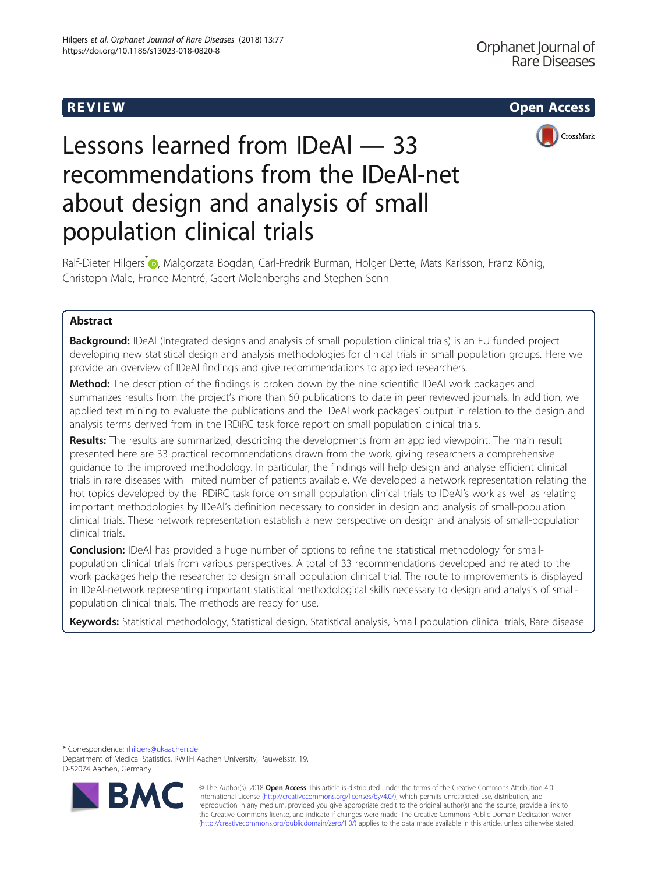**REVIEW CONSIDERING CONSIDERING CONSIDERING CONSIDERING CONSIDERING CONSIDERING CONSIDERING CONSIDERING CONSIDERING CONSIDERING CONSIDERING CONSIDERING CONSIDERING CONSIDERING CONSIDERING CONSIDERING CONSIDERING CONSIDER** 



# Lessons learned from IDeAl — 33 recommendations from the IDeAl-net about design and analysis of small population clinical trials

Ralf-Dieter Hilgers<sup>[\\*](http://orcid.org/0000-0002-5945-1119)</sup> (D., Malgorzata Bogdan, Carl-Fredrik Burman, Holger Dette, Mats Karlsson, Franz König, Christoph Male, France Mentré, Geert Molenberghs and Stephen Senn

# Abstract

**Background:** IDeAl (Integrated designs and analysis of small population clinical trials) is an EU funded project developing new statistical design and analysis methodologies for clinical trials in small population groups. Here we provide an overview of IDeAl findings and give recommendations to applied researchers.

**Method:** The description of the findings is broken down by the nine scientific IDeAl work packages and summarizes results from the project's more than 60 publications to date in peer reviewed journals. In addition, we applied text mining to evaluate the publications and the IDeAl work packages' output in relation to the design and analysis terms derived from in the IRDiRC task force report on small population clinical trials.

Results: The results are summarized, describing the developments from an applied viewpoint. The main result presented here are 33 practical recommendations drawn from the work, giving researchers a comprehensive guidance to the improved methodology. In particular, the findings will help design and analyse efficient clinical trials in rare diseases with limited number of patients available. We developed a network representation relating the hot topics developed by the IRDiRC task force on small population clinical trials to IDeAl's work as well as relating important methodologies by IDeAl's definition necessary to consider in design and analysis of small-population clinical trials. These network representation establish a new perspective on design and analysis of small-population clinical trials.

**Conclusion:** IDeAl has provided a huge number of options to refine the statistical methodology for smallpopulation clinical trials from various perspectives. A total of 33 recommendations developed and related to the work packages help the researcher to design small population clinical trial. The route to improvements is displayed in IDeAl-network representing important statistical methodological skills necessary to design and analysis of smallpopulation clinical trials. The methods are ready for use.

Keywords: Statistical methodology, Statistical design, Statistical analysis, Small population clinical trials, Rare disease

\* Correspondence: [rhilgers@ukaachen.de](mailto:rhilgers@ukaachen.de)

Department of Medical Statistics, RWTH Aachen University, Pauwelsstr. 19, D-52074 Aachen, Germany



© The Author(s). 2018 Open Access This article is distributed under the terms of the Creative Commons Attribution 4.0 International License [\(http://creativecommons.org/licenses/by/4.0/](http://creativecommons.org/licenses/by/4.0/)), which permits unrestricted use, distribution, and reproduction in any medium, provided you give appropriate credit to the original author(s) and the source, provide a link to the Creative Commons license, and indicate if changes were made. The Creative Commons Public Domain Dedication waiver [\(http://creativecommons.org/publicdomain/zero/1.0/](http://creativecommons.org/publicdomain/zero/1.0/)) applies to the data made available in this article, unless otherwise stated.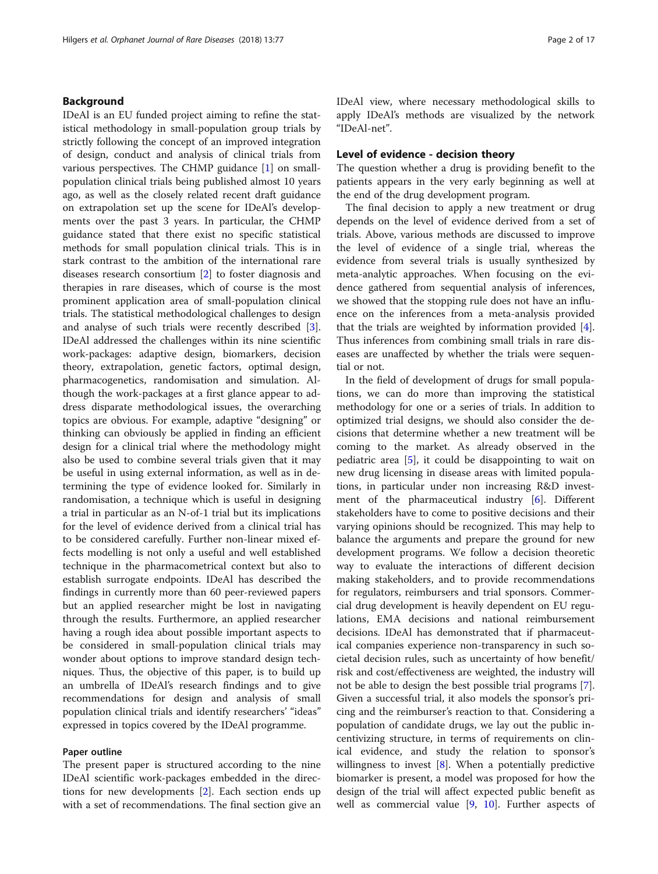# Background

IDeAl is an EU funded project aiming to refine the statistical methodology in small-population group trials by strictly following the concept of an improved integration of design, conduct and analysis of clinical trials from various perspectives. The CHMP guidance [[1\]](#page-14-0) on smallpopulation clinical trials being published almost 10 years ago, as well as the closely related recent draft guidance on extrapolation set up the scene for IDeAl's developments over the past 3 years. In particular, the CHMP guidance stated that there exist no specific statistical methods for small population clinical trials. This is in stark contrast to the ambition of the international rare diseases research consortium [\[2\]](#page-14-0) to foster diagnosis and therapies in rare diseases, which of course is the most prominent application area of small-population clinical trials. The statistical methodological challenges to design and analyse of such trials were recently described [\[3](#page-14-0)]. IDeAl addressed the challenges within its nine scientific work-packages: adaptive design, biomarkers, decision theory, extrapolation, genetic factors, optimal design, pharmacogenetics, randomisation and simulation. Although the work-packages at a first glance appear to address disparate methodological issues, the overarching topics are obvious. For example, adaptive "designing" or thinking can obviously be applied in finding an efficient design for a clinical trial where the methodology might also be used to combine several trials given that it may be useful in using external information, as well as in determining the type of evidence looked for. Similarly in randomisation, a technique which is useful in designing a trial in particular as an N-of-1 trial but its implications for the level of evidence derived from a clinical trial has to be considered carefully. Further non-linear mixed effects modelling is not only a useful and well established technique in the pharmacometrical context but also to establish surrogate endpoints. IDeAl has described the findings in currently more than 60 peer-reviewed papers but an applied researcher might be lost in navigating through the results. Furthermore, an applied researcher having a rough idea about possible important aspects to be considered in small-population clinical trials may wonder about options to improve standard design techniques. Thus, the objective of this paper, is to build up an umbrella of IDeAl's research findings and to give recommendations for design and analysis of small population clinical trials and identify researchers' "ideas" expressed in topics covered by the IDeAl programme.

# Paper outline

The present paper is structured according to the nine IDeAl scientific work-packages embedded in the directions for new developments [[2](#page-14-0)]. Each section ends up with a set of recommendations. The final section give an IDeAl view, where necessary methodological skills to apply IDeAl's methods are visualized by the network "IDeAl-net".

# Level of evidence - decision theory

The question whether a drug is providing benefit to the patients appears in the very early beginning as well at the end of the drug development program.

The final decision to apply a new treatment or drug depends on the level of evidence derived from a set of trials. Above, various methods are discussed to improve the level of evidence of a single trial, whereas the evidence from several trials is usually synthesized by meta-analytic approaches. When focusing on the evidence gathered from sequential analysis of inferences, we showed that the stopping rule does not have an influence on the inferences from a meta-analysis provided that the trials are weighted by information provided [\[4](#page-14-0)]. Thus inferences from combining small trials in rare diseases are unaffected by whether the trials were sequential or not.

In the field of development of drugs for small populations, we can do more than improving the statistical methodology for one or a series of trials. In addition to optimized trial designs, we should also consider the decisions that determine whether a new treatment will be coming to the market. As already observed in the pediatric area [[5\]](#page-14-0), it could be disappointing to wait on new drug licensing in disease areas with limited populations, in particular under non increasing R&D investment of the pharmaceutical industry [\[6](#page-14-0)]. Different stakeholders have to come to positive decisions and their varying opinions should be recognized. This may help to balance the arguments and prepare the ground for new development programs. We follow a decision theoretic way to evaluate the interactions of different decision making stakeholders, and to provide recommendations for regulators, reimbursers and trial sponsors. Commercial drug development is heavily dependent on EU regulations, EMA decisions and national reimbursement decisions. IDeAl has demonstrated that if pharmaceutical companies experience non-transparency in such societal decision rules, such as uncertainty of how benefit/ risk and cost/effectiveness are weighted, the industry will not be able to design the best possible trial programs [\[7](#page-14-0)]. Given a successful trial, it also models the sponsor's pricing and the reimburser's reaction to that. Considering a population of candidate drugs, we lay out the public incentivizing structure, in terms of requirements on clinical evidence, and study the relation to sponsor's willingness to invest  $[8]$  $[8]$ . When a potentially predictive biomarker is present, a model was proposed for how the design of the trial will affect expected public benefit as well as commercial value [[9,](#page-15-0) [10\]](#page-15-0). Further aspects of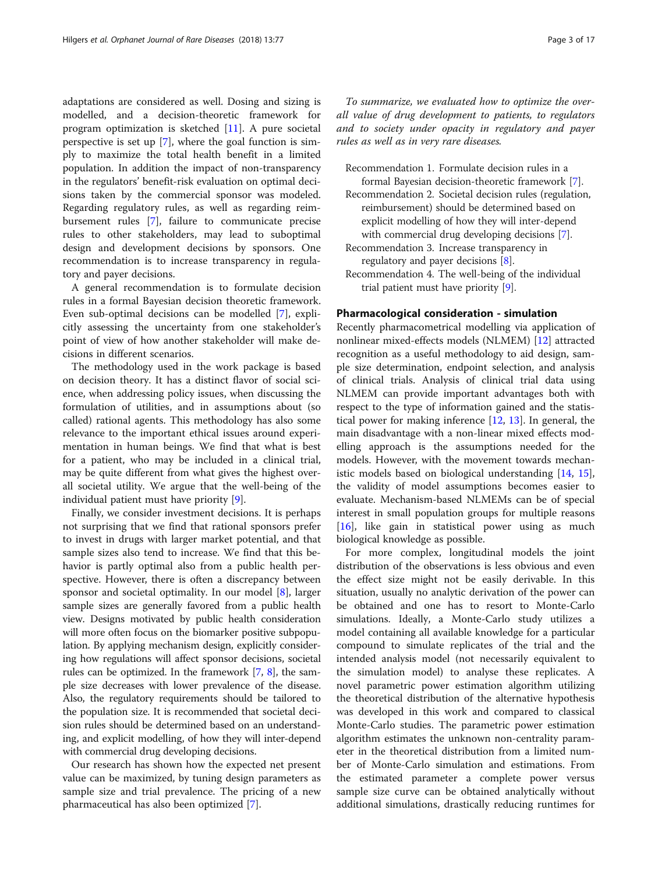adaptations are considered as well. Dosing and sizing is modelled, and a decision-theoretic framework for program optimization is sketched [\[11](#page-15-0)]. A pure societal perspective is set up [\[7](#page-14-0)], where the goal function is simply to maximize the total health benefit in a limited population. In addition the impact of non-transparency in the regulators' benefit-risk evaluation on optimal decisions taken by the commercial sponsor was modeled. Regarding regulatory rules, as well as regarding reimbursement rules [\[7](#page-14-0)], failure to communicate precise rules to other stakeholders, may lead to suboptimal design and development decisions by sponsors. One recommendation is to increase transparency in regulatory and payer decisions.

A general recommendation is to formulate decision rules in a formal Bayesian decision theoretic framework. Even sub-optimal decisions can be modelled [[7\]](#page-14-0), explicitly assessing the uncertainty from one stakeholder's point of view of how another stakeholder will make decisions in different scenarios.

The methodology used in the work package is based on decision theory. It has a distinct flavor of social science, when addressing policy issues, when discussing the formulation of utilities, and in assumptions about (so called) rational agents. This methodology has also some relevance to the important ethical issues around experimentation in human beings. We find that what is best for a patient, who may be included in a clinical trial, may be quite different from what gives the highest overall societal utility. We argue that the well-being of the individual patient must have priority [\[9](#page-15-0)].

Finally, we consider investment decisions. It is perhaps not surprising that we find that rational sponsors prefer to invest in drugs with larger market potential, and that sample sizes also tend to increase. We find that this behavior is partly optimal also from a public health perspective. However, there is often a discrepancy between sponsor and societal optimality. In our model [\[8](#page-14-0)], larger sample sizes are generally favored from a public health view. Designs motivated by public health consideration will more often focus on the biomarker positive subpopulation. By applying mechanism design, explicitly considering how regulations will affect sponsor decisions, societal rules can be optimized. In the framework [[7](#page-14-0), [8\]](#page-14-0), the sample size decreases with lower prevalence of the disease. Also, the regulatory requirements should be tailored to the population size. It is recommended that societal decision rules should be determined based on an understanding, and explicit modelling, of how they will inter-depend with commercial drug developing decisions.

Our research has shown how the expected net present value can be maximized, by tuning design parameters as sample size and trial prevalence. The pricing of a new pharmaceutical has also been optimized [\[7](#page-14-0)].

To summarize, we evaluated how to optimize the overall value of drug development to patients, to regulators and to society under opacity in regulatory and payer rules as well as in very rare diseases.

- Recommendation 1. Formulate decision rules in a formal Bayesian decision-theoretic framework [\[7](#page-14-0)].
- Recommendation 2. Societal decision rules (regulation, reimbursement) should be determined based on explicit modelling of how they will inter-depend with commercial drug developing decisions [\[7](#page-14-0)].
- Recommendation 3. Increase transparency in regulatory and payer decisions [[8\]](#page-14-0).
- Recommendation 4. The well-being of the individual trial patient must have priority [[9](#page-15-0)].

#### Pharmacological consideration - simulation

Recently pharmacometrical modelling via application of nonlinear mixed-effects models (NLMEM) [[12](#page-15-0)] attracted recognition as a useful methodology to aid design, sample size determination, endpoint selection, and analysis of clinical trials. Analysis of clinical trial data using NLMEM can provide important advantages both with respect to the type of information gained and the statistical power for making inference [\[12](#page-15-0), [13](#page-15-0)]. In general, the main disadvantage with a non-linear mixed effects modelling approach is the assumptions needed for the models. However, with the movement towards mechanistic models based on biological understanding [[14](#page-15-0), [15](#page-15-0)], the validity of model assumptions becomes easier to evaluate. Mechanism-based NLMEMs can be of special interest in small population groups for multiple reasons [[16\]](#page-15-0), like gain in statistical power using as much biological knowledge as possible.

For more complex, longitudinal models the joint distribution of the observations is less obvious and even the effect size might not be easily derivable. In this situation, usually no analytic derivation of the power can be obtained and one has to resort to Monte-Carlo simulations. Ideally, a Monte-Carlo study utilizes a model containing all available knowledge for a particular compound to simulate replicates of the trial and the intended analysis model (not necessarily equivalent to the simulation model) to analyse these replicates. A novel parametric power estimation algorithm utilizing the theoretical distribution of the alternative hypothesis was developed in this work and compared to classical Monte-Carlo studies. The parametric power estimation algorithm estimates the unknown non-centrality parameter in the theoretical distribution from a limited number of Monte-Carlo simulation and estimations. From the estimated parameter a complete power versus sample size curve can be obtained analytically without additional simulations, drastically reducing runtimes for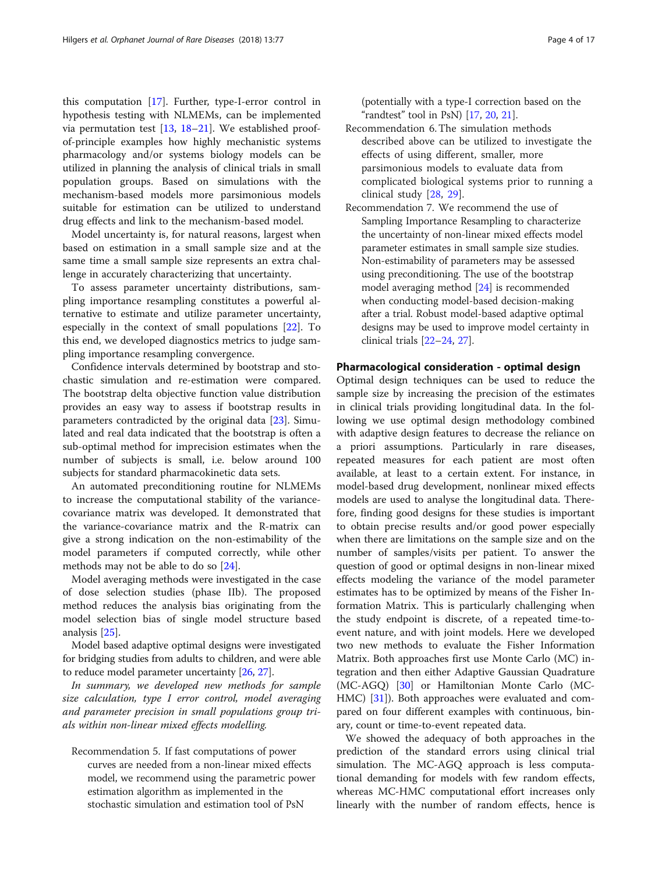this computation [\[17\]](#page-15-0). Further, type-I-error control in hypothesis testing with NLMEMs, can be implemented via permutation test [[13,](#page-15-0) [18](#page-15-0)–[21](#page-15-0)]. We established proofof-principle examples how highly mechanistic systems pharmacology and/or systems biology models can be utilized in planning the analysis of clinical trials in small population groups. Based on simulations with the mechanism-based models more parsimonious models suitable for estimation can be utilized to understand drug effects and link to the mechanism-based model.

Model uncertainty is, for natural reasons, largest when based on estimation in a small sample size and at the same time a small sample size represents an extra challenge in accurately characterizing that uncertainty.

To assess parameter uncertainty distributions, sampling importance resampling constitutes a powerful alternative to estimate and utilize parameter uncertainty, especially in the context of small populations [\[22](#page-15-0)]. To this end, we developed diagnostics metrics to judge sampling importance resampling convergence.

Confidence intervals determined by bootstrap and stochastic simulation and re-estimation were compared. The bootstrap delta objective function value distribution provides an easy way to assess if bootstrap results in parameters contradicted by the original data [\[23](#page-15-0)]. Simulated and real data indicated that the bootstrap is often a sub-optimal method for imprecision estimates when the number of subjects is small, i.e. below around 100 subjects for standard pharmacokinetic data sets.

An automated preconditioning routine for NLMEMs to increase the computational stability of the variancecovariance matrix was developed. It demonstrated that the variance-covariance matrix and the R-matrix can give a strong indication on the non-estimability of the model parameters if computed correctly, while other methods may not be able to do so [[24](#page-15-0)].

Model averaging methods were investigated in the case of dose selection studies (phase IIb). The proposed method reduces the analysis bias originating from the model selection bias of single model structure based analysis [\[25\]](#page-15-0).

Model based adaptive optimal designs were investigated for bridging studies from adults to children, and were able to reduce model parameter uncertainty [\[26,](#page-15-0) [27\]](#page-15-0).

In summary, we developed new methods for sample size calculation, type I error control, model averaging and parameter precision in small populations group trials within non-linear mixed effects modelling.

Recommendation 5. If fast computations of power curves are needed from a non-linear mixed effects model, we recommend using the parametric power estimation algorithm as implemented in the stochastic simulation and estimation tool of PsN

(potentially with a type-I correction based on the "randtest" tool in PsN)  $[17, 20, 21]$  $[17, 20, 21]$  $[17, 20, 21]$  $[17, 20, 21]$  $[17, 20, 21]$  $[17, 20, 21]$ .

- Recommendation 6.The simulation methods described above can be utilized to investigate the effects of using different, smaller, more parsimonious models to evaluate data from complicated biological systems prior to running a clinical study [\[28](#page-15-0), [29](#page-15-0)].
- Recommendation 7. We recommend the use of Sampling Importance Resampling to characterize the uncertainty of non-linear mixed effects model parameter estimates in small sample size studies. Non-estimability of parameters may be assessed using preconditioning. The use of the bootstrap model averaging method [\[24\]](#page-15-0) is recommended when conducting model-based decision-making after a trial. Robust model-based adaptive optimal designs may be used to improve model certainty in clinical trials [\[22](#page-15-0)–[24](#page-15-0), [27](#page-15-0)].

# Pharmacological consideration - optimal design

Optimal design techniques can be used to reduce the sample size by increasing the precision of the estimates in clinical trials providing longitudinal data. In the following we use optimal design methodology combined with adaptive design features to decrease the reliance on a priori assumptions. Particularly in rare diseases, repeated measures for each patient are most often available, at least to a certain extent. For instance, in model-based drug development, nonlinear mixed effects models are used to analyse the longitudinal data. Therefore, finding good designs for these studies is important to obtain precise results and/or good power especially when there are limitations on the sample size and on the number of samples/visits per patient. To answer the question of good or optimal designs in non-linear mixed effects modeling the variance of the model parameter estimates has to be optimized by means of the Fisher Information Matrix. This is particularly challenging when the study endpoint is discrete, of a repeated time-toevent nature, and with joint models. Here we developed two new methods to evaluate the Fisher Information Matrix. Both approaches first use Monte Carlo (MC) integration and then either Adaptive Gaussian Quadrature (MC-AGQ) [[30\]](#page-15-0) or Hamiltonian Monte Carlo (MC-HMC) [\[31](#page-15-0)]). Both approaches were evaluated and compared on four different examples with continuous, binary, count or time-to-event repeated data.

We showed the adequacy of both approaches in the prediction of the standard errors using clinical trial simulation. The MC-AGQ approach is less computational demanding for models with few random effects, whereas MC-HMC computational effort increases only linearly with the number of random effects, hence is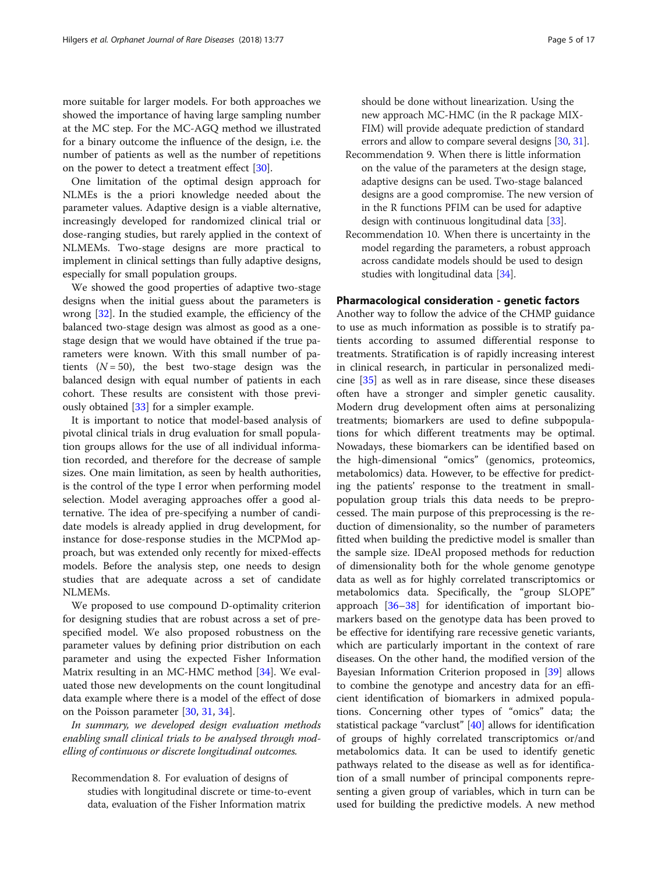more suitable for larger models. For both approaches we showed the importance of having large sampling number at the MC step. For the MC-AGQ method we illustrated for a binary outcome the influence of the design, i.e. the number of patients as well as the number of repetitions on the power to detect a treatment effect [[30\]](#page-15-0).

One limitation of the optimal design approach for NLMEs is the a priori knowledge needed about the parameter values. Adaptive design is a viable alternative, increasingly developed for randomized clinical trial or dose-ranging studies, but rarely applied in the context of NLMEMs. Two-stage designs are more practical to implement in clinical settings than fully adaptive designs, especially for small population groups.

We showed the good properties of adaptive two-stage designs when the initial guess about the parameters is wrong [[32\]](#page-15-0). In the studied example, the efficiency of the balanced two-stage design was almost as good as a onestage design that we would have obtained if the true parameters were known. With this small number of patients  $(N = 50)$ , the best two-stage design was the balanced design with equal number of patients in each cohort. These results are consistent with those previously obtained [\[33](#page-15-0)] for a simpler example.

It is important to notice that model-based analysis of pivotal clinical trials in drug evaluation for small population groups allows for the use of all individual information recorded, and therefore for the decrease of sample sizes. One main limitation, as seen by health authorities, is the control of the type I error when performing model selection. Model averaging approaches offer a good alternative. The idea of pre-specifying a number of candidate models is already applied in drug development, for instance for dose-response studies in the MCPMod approach, but was extended only recently for mixed-effects models. Before the analysis step, one needs to design studies that are adequate across a set of candidate NLMEMs.

We proposed to use compound D-optimality criterion for designing studies that are robust across a set of prespecified model. We also proposed robustness on the parameter values by defining prior distribution on each parameter and using the expected Fisher Information Matrix resulting in an MC-HMC method [[34\]](#page-15-0). We evaluated those new developments on the count longitudinal data example where there is a model of the effect of dose on the Poisson parameter [[30,](#page-15-0) [31,](#page-15-0) [34](#page-15-0)].

In summary, we developed design evaluation methods enabling small clinical trials to be analysed through modelling of continuous or discrete longitudinal outcomes.

Recommendation 8. For evaluation of designs of studies with longitudinal discrete or time-to-event data, evaluation of the Fisher Information matrix

should be done without linearization. Using the new approach MC-HMC (in the R package MIX-FIM) will provide adequate prediction of standard errors and allow to compare several designs [[30](#page-15-0), [31](#page-15-0)].

- Recommendation 9. When there is little information on the value of the parameters at the design stage, adaptive designs can be used. Two-stage balanced designs are a good compromise. The new version of in the R functions PFIM can be used for adaptive design with continuous longitudinal data [[33\]](#page-15-0).
- Recommendation 10. When there is uncertainty in the model regarding the parameters, a robust approach across candidate models should be used to design studies with longitudinal data [\[34\]](#page-15-0).

# Pharmacological consideration - genetic factors

Another way to follow the advice of the CHMP guidance to use as much information as possible is to stratify patients according to assumed differential response to treatments. Stratification is of rapidly increasing interest in clinical research, in particular in personalized medicine [[35](#page-15-0)] as well as in rare disease, since these diseases often have a stronger and simpler genetic causality. Modern drug development often aims at personalizing treatments; biomarkers are used to define subpopulations for which different treatments may be optimal. Nowadays, these biomarkers can be identified based on the high-dimensional "omics" (genomics, proteomics, metabolomics) data. However, to be effective for predicting the patients' response to the treatment in smallpopulation group trials this data needs to be preprocessed. The main purpose of this preprocessing is the reduction of dimensionality, so the number of parameters fitted when building the predictive model is smaller than the sample size. IDeAl proposed methods for reduction of dimensionality both for the whole genome genotype data as well as for highly correlated transcriptomics or metabolomics data. Specifically, the "group SLOPE" approach [\[36](#page-15-0)–[38\]](#page-15-0) for identification of important biomarkers based on the genotype data has been proved to be effective for identifying rare recessive genetic variants, which are particularly important in the context of rare diseases. On the other hand, the modified version of the Bayesian Information Criterion proposed in [\[39\]](#page-15-0) allows to combine the genotype and ancestry data for an efficient identification of biomarkers in admixed populations. Concerning other types of "omics" data; the statistical package "varclust" [\[40\]](#page-15-0) allows for identification of groups of highly correlated transcriptomics or/and metabolomics data. It can be used to identify genetic pathways related to the disease as well as for identification of a small number of principal components representing a given group of variables, which in turn can be used for building the predictive models. A new method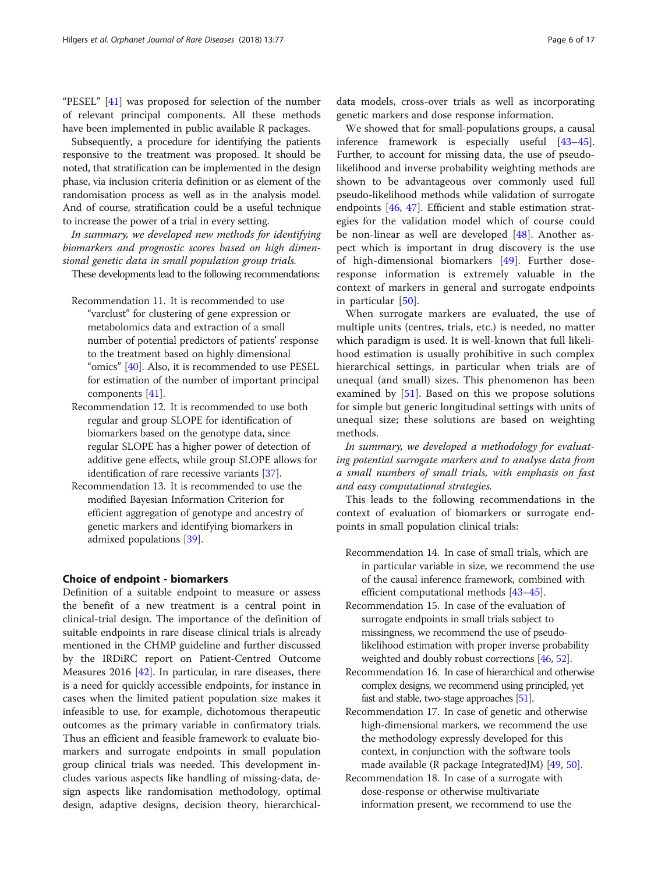"PESEL" [[41\]](#page-15-0) was proposed for selection of the number of relevant principal components. All these methods have been implemented in public available R packages.

Subsequently, a procedure for identifying the patients responsive to the treatment was proposed. It should be noted, that stratification can be implemented in the design phase, via inclusion criteria definition or as element of the randomisation process as well as in the analysis model. And of course, stratification could be a useful technique to increase the power of a trial in every setting.

In summary, we developed new methods for identifying biomarkers and prognostic scores based on high dimensional genetic data in small population group trials.

These developments lead to the following recommendations:

- Recommendation 11. It is recommended to use "varclust" for clustering of gene expression or metabolomics data and extraction of a small number of potential predictors of patients' response to the treatment based on highly dimensional "omics" [[40](#page-15-0)]. Also, it is recommended to use PESEL for estimation of the number of important principal components [[41](#page-15-0)].
- Recommendation 12. It is recommended to use both regular and group SLOPE for identification of biomarkers based on the genotype data, since regular SLOPE has a higher power of detection of additive gene effects, while group SLOPE allows for identification of rare recessive variants [\[37\]](#page-15-0).
- Recommendation 13. It is recommended to use the modified Bayesian Information Criterion for efficient aggregation of genotype and ancestry of genetic markers and identifying biomarkers in admixed populations [\[39\]](#page-15-0).

# Choice of endpoint - biomarkers

Definition of a suitable endpoint to measure or assess the benefit of a new treatment is a central point in clinical-trial design. The importance of the definition of suitable endpoints in rare disease clinical trials is already mentioned in the CHMP guideline and further discussed by the IRDiRC report on Patient-Centred Outcome Measures 2016 [\[42](#page-15-0)]. In particular, in rare diseases, there is a need for quickly accessible endpoints, for instance in cases when the limited patient population size makes it infeasible to use, for example, dichotomous therapeutic outcomes as the primary variable in confirmatory trials. Thus an efficient and feasible framework to evaluate biomarkers and surrogate endpoints in small population group clinical trials was needed. This development includes various aspects like handling of missing-data, design aspects like randomisation methodology, optimal design, adaptive designs, decision theory, hierarchicaldata models, cross-over trials as well as incorporating genetic markers and dose response information.

We showed that for small-populations groups, a causal inference framework is especially useful [[43](#page-15-0)–[45](#page-15-0)]. Further, to account for missing data, the use of pseudolikelihood and inverse probability weighting methods are shown to be advantageous over commonly used full pseudo-likelihood methods while validation of surrogate endpoints [\[46,](#page-15-0) [47\]](#page-15-0). Efficient and stable estimation strategies for the validation model which of course could be non-linear as well are developed [\[48](#page-15-0)]. Another aspect which is important in drug discovery is the use of high-dimensional biomarkers [[49\]](#page-15-0). Further doseresponse information is extremely valuable in the context of markers in general and surrogate endpoints in particular [\[50](#page-15-0)].

When surrogate markers are evaluated, the use of multiple units (centres, trials, etc.) is needed, no matter which paradigm is used. It is well-known that full likelihood estimation is usually prohibitive in such complex hierarchical settings, in particular when trials are of unequal (and small) sizes. This phenomenon has been examined by [[51](#page-15-0)]. Based on this we propose solutions for simple but generic longitudinal settings with units of unequal size; these solutions are based on weighting methods.

In summary, we developed a methodology for evaluating potential surrogate markers and to analyse data from a small numbers of small trials, with emphasis on fast and easy computational strategies.

This leads to the following recommendations in the context of evaluation of biomarkers or surrogate endpoints in small population clinical trials:

- Recommendation 14. In case of small trials, which are in particular variable in size, we recommend the use of the causal inference framework, combined with efficient computational methods [[43](#page-15-0)–[45\]](#page-15-0).
- Recommendation 15. In case of the evaluation of surrogate endpoints in small trials subject to missingness, we recommend the use of pseudolikelihood estimation with proper inverse probability weighted and doubly robust corrections [\[46,](#page-15-0) [52\]](#page-15-0).
- Recommendation 16. In case of hierarchical and otherwise complex designs, we recommend using principled, yet fast and stable, two-stage approaches [\[51\]](#page-15-0).
- Recommendation 17. In case of genetic and otherwise high-dimensional markers, we recommend the use the methodology expressly developed for this context, in conjunction with the software tools made available (R package IntegratedJM) [\[49,](#page-15-0) [50](#page-15-0)].
- Recommendation 18. In case of a surrogate with dose-response or otherwise multivariate information present, we recommend to use the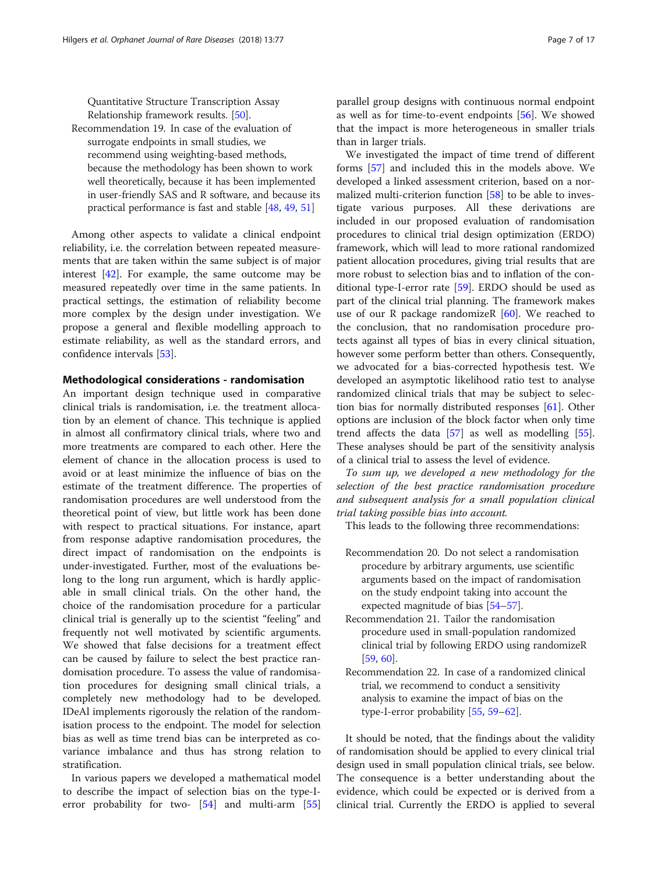Quantitative Structure Transcription Assay Relationship framework results. [\[50](#page-15-0)].

Recommendation 19. In case of the evaluation of surrogate endpoints in small studies, we recommend using weighting-based methods, because the methodology has been shown to work well theoretically, because it has been implemented in user-friendly SAS and R software, and because its practical performance is fast and stable [[48,](#page-15-0) [49](#page-15-0), [51\]](#page-15-0)

Among other aspects to validate a clinical endpoint reliability, i.e. the correlation between repeated measurements that are taken within the same subject is of major interest [\[42](#page-15-0)]. For example, the same outcome may be measured repeatedly over time in the same patients. In practical settings, the estimation of reliability become more complex by the design under investigation. We propose a general and flexible modelling approach to estimate reliability, as well as the standard errors, and confidence intervals [[53](#page-15-0)].

# Methodological considerations - randomisation

An important design technique used in comparative clinical trials is randomisation, i.e. the treatment allocation by an element of chance. This technique is applied in almost all confirmatory clinical trials, where two and more treatments are compared to each other. Here the element of chance in the allocation process is used to avoid or at least minimize the influence of bias on the estimate of the treatment difference. The properties of randomisation procedures are well understood from the theoretical point of view, but little work has been done with respect to practical situations. For instance, apart from response adaptive randomisation procedures, the direct impact of randomisation on the endpoints is under-investigated. Further, most of the evaluations belong to the long run argument, which is hardly applicable in small clinical trials. On the other hand, the choice of the randomisation procedure for a particular clinical trial is generally up to the scientist "feeling" and frequently not well motivated by scientific arguments. We showed that false decisions for a treatment effect can be caused by failure to select the best practice randomisation procedure. To assess the value of randomisation procedures for designing small clinical trials, a completely new methodology had to be developed. IDeAl implements rigorously the relation of the randomisation process to the endpoint. The model for selection bias as well as time trend bias can be interpreted as covariance imbalance and thus has strong relation to stratification.

In various papers we developed a mathematical model to describe the impact of selection bias on the type-Ierror probability for two- [\[54](#page-15-0)] and multi-arm [[55](#page-16-0)]

parallel group designs with continuous normal endpoint as well as for time-to-event endpoints [\[56\]](#page-16-0). We showed that the impact is more heterogeneous in smaller trials than in larger trials.

We investigated the impact of time trend of different forms [[57\]](#page-16-0) and included this in the models above. We developed a linked assessment criterion, based on a nor-malized multi-criterion function [\[58](#page-16-0)] to be able to investigate various purposes. All these derivations are included in our proposed evaluation of randomisation procedures to clinical trial design optimization (ERDO) framework, which will lead to more rational randomized patient allocation procedures, giving trial results that are more robust to selection bias and to inflation of the conditional type-I-error rate [\[59\]](#page-16-0). ERDO should be used as part of the clinical trial planning. The framework makes use of our R package randomizeR  $[60]$  $[60]$ . We reached to the conclusion, that no randomisation procedure protects against all types of bias in every clinical situation, however some perform better than others. Consequently, we advocated for a bias-corrected hypothesis test. We developed an asymptotic likelihood ratio test to analyse randomized clinical trials that may be subject to selection bias for normally distributed responses [\[61](#page-16-0)]. Other options are inclusion of the block factor when only time trend affects the data [\[57](#page-16-0)] as well as modelling [\[55](#page-16-0)]. These analyses should be part of the sensitivity analysis of a clinical trial to assess the level of evidence.

To sum up, we developed a new methodology for the selection of the best practice randomisation procedure and subsequent analysis for a small population clinical trial taking possible bias into account.

This leads to the following three recommendations:

- Recommendation 20. Do not select a randomisation procedure by arbitrary arguments, use scientific arguments based on the impact of randomisation on the study endpoint taking into account the expected magnitude of bias [\[54](#page-15-0)–[57\]](#page-16-0).
- Recommendation 21. Tailor the randomisation procedure used in small-population randomized clinical trial by following ERDO using randomizeR [[59](#page-16-0), [60\]](#page-16-0).
- Recommendation 22. In case of a randomized clinical trial, we recommend to conduct a sensitivity analysis to examine the impact of bias on the type-I-error probability [\[55,](#page-16-0) [59](#page-16-0)–[62\]](#page-16-0).

It should be noted, that the findings about the validity of randomisation should be applied to every clinical trial design used in small population clinical trials, see below. The consequence is a better understanding about the evidence, which could be expected or is derived from a clinical trial. Currently the ERDO is applied to several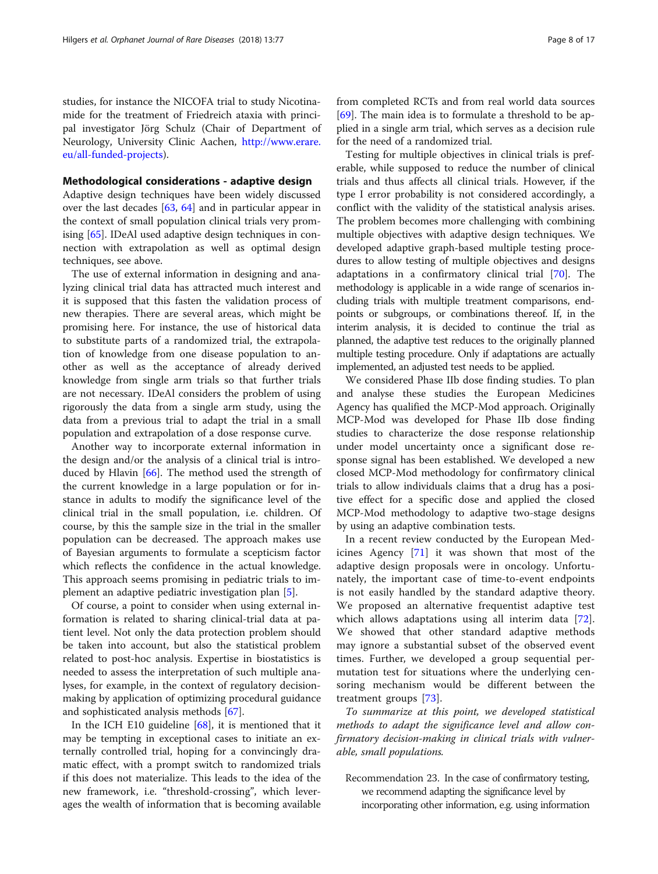studies, for instance the NICOFA trial to study Nicotinamide for the treatment of Friedreich ataxia with principal investigator Jörg Schulz (Chair of Department of Neurology, University Clinic Aachen, [http://www.erare.](http://www.erare.eu/all-funded-projects)) [eu/all-funded-projects\)](http://www.erare.eu/all-funded-projects)).

### Methodological considerations - adaptive design

Adaptive design techniques have been widely discussed over the last decades [[63,](#page-16-0) [64\]](#page-16-0) and in particular appear in the context of small population clinical trials very promising [[65\]](#page-16-0). IDeAl used adaptive design techniques in connection with extrapolation as well as optimal design techniques, see above.

The use of external information in designing and analyzing clinical trial data has attracted much interest and it is supposed that this fasten the validation process of new therapies. There are several areas, which might be promising here. For instance, the use of historical data to substitute parts of a randomized trial, the extrapolation of knowledge from one disease population to another as well as the acceptance of already derived knowledge from single arm trials so that further trials are not necessary. IDeAl considers the problem of using rigorously the data from a single arm study, using the data from a previous trial to adapt the trial in a small population and extrapolation of a dose response curve.

Another way to incorporate external information in the design and/or the analysis of a clinical trial is introduced by Hlavin [\[66\]](#page-16-0). The method used the strength of the current knowledge in a large population or for instance in adults to modify the significance level of the clinical trial in the small population, i.e. children. Of course, by this the sample size in the trial in the smaller population can be decreased. The approach makes use of Bayesian arguments to formulate a scepticism factor which reflects the confidence in the actual knowledge. This approach seems promising in pediatric trials to implement an adaptive pediatric investigation plan [\[5](#page-14-0)].

Of course, a point to consider when using external information is related to sharing clinical-trial data at patient level. Not only the data protection problem should be taken into account, but also the statistical problem related to post-hoc analysis. Expertise in biostatistics is needed to assess the interpretation of such multiple analyses, for example, in the context of regulatory decisionmaking by application of optimizing procedural guidance and sophisticated analysis methods [\[67](#page-16-0)].

In the ICH E10 guideline [[68](#page-16-0)], it is mentioned that it may be tempting in exceptional cases to initiate an externally controlled trial, hoping for a convincingly dramatic effect, with a prompt switch to randomized trials if this does not materialize. This leads to the idea of the new framework, i.e. "threshold-crossing", which leverages the wealth of information that is becoming available from completed RCTs and from real world data sources [[69\]](#page-16-0). The main idea is to formulate a threshold to be applied in a single arm trial, which serves as a decision rule for the need of a randomized trial.

Testing for multiple objectives in clinical trials is preferable, while supposed to reduce the number of clinical trials and thus affects all clinical trials. However, if the type I error probability is not considered accordingly, a conflict with the validity of the statistical analysis arises. The problem becomes more challenging with combining multiple objectives with adaptive design techniques. We developed adaptive graph-based multiple testing procedures to allow testing of multiple objectives and designs adaptations in a confirmatory clinical trial [\[70](#page-16-0)]. The methodology is applicable in a wide range of scenarios including trials with multiple treatment comparisons, endpoints or subgroups, or combinations thereof. If, in the interim analysis, it is decided to continue the trial as planned, the adaptive test reduces to the originally planned multiple testing procedure. Only if adaptations are actually implemented, an adjusted test needs to be applied.

We considered Phase IIb dose finding studies. To plan and analyse these studies the European Medicines Agency has qualified the MCP-Mod approach. Originally MCP-Mod was developed for Phase IIb dose finding studies to characterize the dose response relationship under model uncertainty once a significant dose response signal has been established. We developed a new closed MCP-Mod methodology for confirmatory clinical trials to allow individuals claims that a drug has a positive effect for a specific dose and applied the closed MCP-Mod methodology to adaptive two-stage designs by using an adaptive combination tests.

In a recent review conducted by the European Medicines Agency [[71\]](#page-16-0) it was shown that most of the adaptive design proposals were in oncology. Unfortunately, the important case of time-to-event endpoints is not easily handled by the standard adaptive theory. We proposed an alternative frequentist adaptive test which allows adaptations using all interim data [\[72](#page-16-0)]. We showed that other standard adaptive methods may ignore a substantial subset of the observed event times. Further, we developed a group sequential permutation test for situations where the underlying censoring mechanism would be different between the treatment groups [[73\]](#page-16-0).

To summarize at this point, we developed statistical methods to adapt the significance level and allow confirmatory decision-making in clinical trials with vulnerable, small populations.

Recommendation 23. In the case of confirmatory testing, we recommend adapting the significance level by incorporating other information, e.g. using information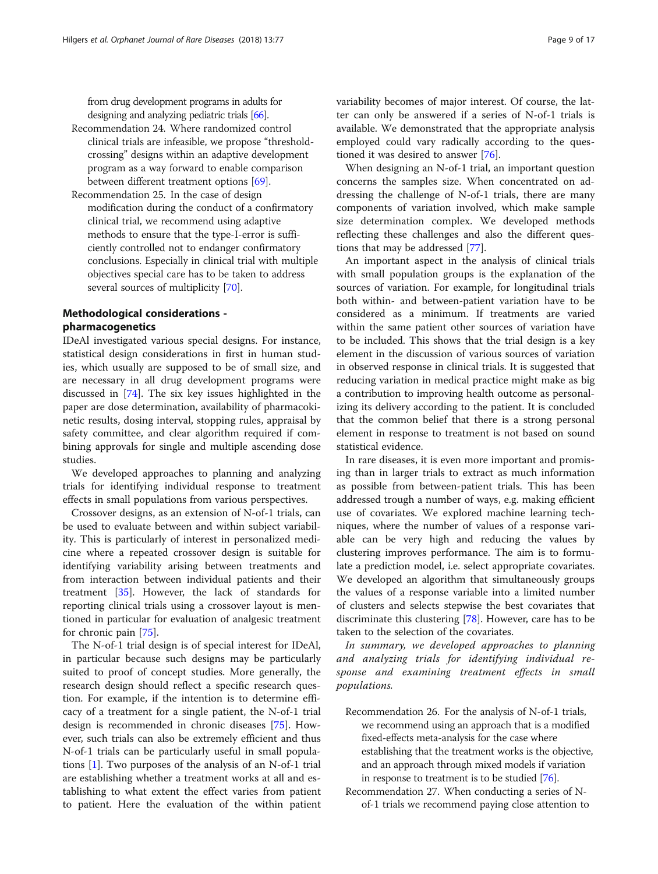from drug development programs in adults for designing and analyzing pediatric trials [[66\]](#page-16-0).

- Recommendation 24. Where randomized control clinical trials are infeasible, we propose "thresholdcrossing" designs within an adaptive development program as a way forward to enable comparison between different treatment options [[69](#page-16-0)].
- Recommendation 25. In the case of design modification during the conduct of a confirmatory clinical trial, we recommend using adaptive methods to ensure that the type-I-error is sufficiently controlled not to endanger confirmatory conclusions. Especially in clinical trial with multiple objectives special care has to be taken to address several sources of multiplicity [[70\]](#page-16-0).

# Methodological considerations pharmacogenetics

IDeAl investigated various special designs. For instance, statistical design considerations in first in human studies, which usually are supposed to be of small size, and are necessary in all drug development programs were discussed in [[74](#page-16-0)]. The six key issues highlighted in the paper are dose determination, availability of pharmacokinetic results, dosing interval, stopping rules, appraisal by safety committee, and clear algorithm required if combining approvals for single and multiple ascending dose studies.

We developed approaches to planning and analyzing trials for identifying individual response to treatment effects in small populations from various perspectives.

Crossover designs, as an extension of N-of-1 trials, can be used to evaluate between and within subject variability. This is particularly of interest in personalized medicine where a repeated crossover design is suitable for identifying variability arising between treatments and from interaction between individual patients and their treatment [[35\]](#page-15-0). However, the lack of standards for reporting clinical trials using a crossover layout is mentioned in particular for evaluation of analgesic treatment for chronic pain [[75\]](#page-16-0).

The N-of-1 trial design is of special interest for IDeAl, in particular because such designs may be particularly suited to proof of concept studies. More generally, the research design should reflect a specific research question. For example, if the intention is to determine efficacy of a treatment for a single patient, the N-of-1 trial design is recommended in chronic diseases [\[75\]](#page-16-0). However, such trials can also be extremely efficient and thus N-of-1 trials can be particularly useful in small populations [\[1\]](#page-14-0). Two purposes of the analysis of an N-of-1 trial are establishing whether a treatment works at all and establishing to what extent the effect varies from patient to patient. Here the evaluation of the within patient

When designing an N-of-1 trial, an important question concerns the samples size. When concentrated on addressing the challenge of N-of-1 trials, there are many components of variation involved, which make sample size determination complex. We developed methods reflecting these challenges and also the different questions that may be addressed [\[77](#page-16-0)].

An important aspect in the analysis of clinical trials with small population groups is the explanation of the sources of variation. For example, for longitudinal trials both within- and between-patient variation have to be considered as a minimum. If treatments are varied within the same patient other sources of variation have to be included. This shows that the trial design is a key element in the discussion of various sources of variation in observed response in clinical trials. It is suggested that reducing variation in medical practice might make as big a contribution to improving health outcome as personalizing its delivery according to the patient. It is concluded that the common belief that there is a strong personal element in response to treatment is not based on sound statistical evidence.

In rare diseases, it is even more important and promising than in larger trials to extract as much information as possible from between-patient trials. This has been addressed trough a number of ways, e.g. making efficient use of covariates. We explored machine learning techniques, where the number of values of a response variable can be very high and reducing the values by clustering improves performance. The aim is to formulate a prediction model, i.e. select appropriate covariates. We developed an algorithm that simultaneously groups the values of a response variable into a limited number of clusters and selects stepwise the best covariates that discriminate this clustering [\[78\]](#page-16-0). However, care has to be taken to the selection of the covariates.

In summary, we developed approaches to planning and analyzing trials for identifying individual response and examining treatment effects in small populations.

- Recommendation 26. For the analysis of N-of-1 trials, we recommend using an approach that is a modified fixed-effects meta-analysis for the case where establishing that the treatment works is the objective, and an approach through mixed models if variation in response to treatment is to be studied [[76](#page-16-0)].
- Recommendation 27. When conducting a series of Nof-1 trials we recommend paying close attention to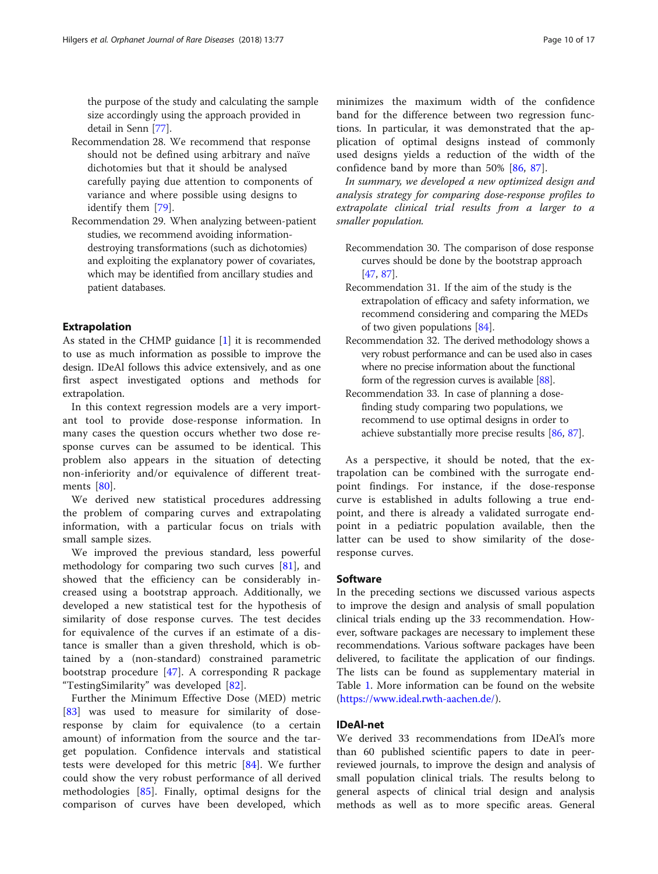the purpose of the study and calculating the sample size accordingly using the approach provided in detail in Senn [[77](#page-16-0)].

- Recommendation 28. We recommend that response should not be defined using arbitrary and naïve dichotomies but that it should be analysed carefully paying due attention to components of variance and where possible using designs to identify them [[79\]](#page-16-0).
- Recommendation 29. When analyzing between-patient studies, we recommend avoiding informationdestroying transformations (such as dichotomies) and exploiting the explanatory power of covariates, which may be identified from ancillary studies and patient databases.

# Extrapolation

As stated in the CHMP guidance [\[1](#page-14-0)] it is recommended to use as much information as possible to improve the design. IDeAl follows this advice extensively, and as one first aspect investigated options and methods for extrapolation.

In this context regression models are a very important tool to provide dose-response information. In many cases the question occurs whether two dose response curves can be assumed to be identical. This problem also appears in the situation of detecting non-inferiority and/or equivalence of different treatments [\[80](#page-16-0)].

We derived new statistical procedures addressing the problem of comparing curves and extrapolating information, with a particular focus on trials with small sample sizes.

We improved the previous standard, less powerful methodology for comparing two such curves [[81\]](#page-16-0), and showed that the efficiency can be considerably increased using a bootstrap approach. Additionally, we developed a new statistical test for the hypothesis of similarity of dose response curves. The test decides for equivalence of the curves if an estimate of a distance is smaller than a given threshold, which is obtained by a (non-standard) constrained parametric bootstrap procedure [[47\]](#page-15-0). A corresponding R package "TestingSimilarity" was developed [[82\]](#page-16-0).

Further the Minimum Effective Dose (MED) metric [[83\]](#page-16-0) was used to measure for similarity of doseresponse by claim for equivalence (to a certain amount) of information from the source and the target population. Confidence intervals and statistical tests were developed for this metric [\[84](#page-16-0)]. We further could show the very robust performance of all derived methodologies [[85\]](#page-16-0). Finally, optimal designs for the comparison of curves have been developed, which

minimizes the maximum width of the confidence band for the difference between two regression functions. In particular, it was demonstrated that the application of optimal designs instead of commonly used designs yields a reduction of the width of the confidence band by more than 50% [[86](#page-16-0), [87](#page-16-0)].

In summary, we developed a new optimized design and analysis strategy for comparing dose-response profiles to extrapolate clinical trial results from a larger to a smaller population.

- Recommendation 30. The comparison of dose response curves should be done by the bootstrap approach [[47](#page-15-0), [87\]](#page-16-0).
- Recommendation 31. If the aim of the study is the extrapolation of efficacy and safety information, we recommend considering and comparing the MEDs of two given populations [\[84\]](#page-16-0).
- Recommendation 32. The derived methodology shows a very robust performance and can be used also in cases where no precise information about the functional form of the regression curves is available [\[88\]](#page-16-0).
- Recommendation 33. In case of planning a dosefinding study comparing two populations, we recommend to use optimal designs in order to achieve substantially more precise results [[86](#page-16-0), [87\]](#page-16-0).

As a perspective, it should be noted, that the extrapolation can be combined with the surrogate endpoint findings. For instance, if the dose-response curve is established in adults following a true endpoint, and there is already a validated surrogate endpoint in a pediatric population available, then the latter can be used to show similarity of the doseresponse curves.

### Software

In the preceding sections we discussed various aspects to improve the design and analysis of small population clinical trials ending up the 33 recommendation. However, software packages are necessary to implement these recommendations. Various software packages have been delivered, to facilitate the application of our findings. The lists can be found as supplementary material in Table [1](#page-10-0). More information can be found on the website ([https://www.ideal.rwth-aachen.de/](https://www.ideal.rwth-aachen.de/))).

# IDeAl-net

We derived 33 recommendations from IDeAl's more than 60 published scientific papers to date in peerreviewed journals, to improve the design and analysis of small population clinical trials. The results belong to general aspects of clinical trial design and analysis methods as well as to more specific areas. General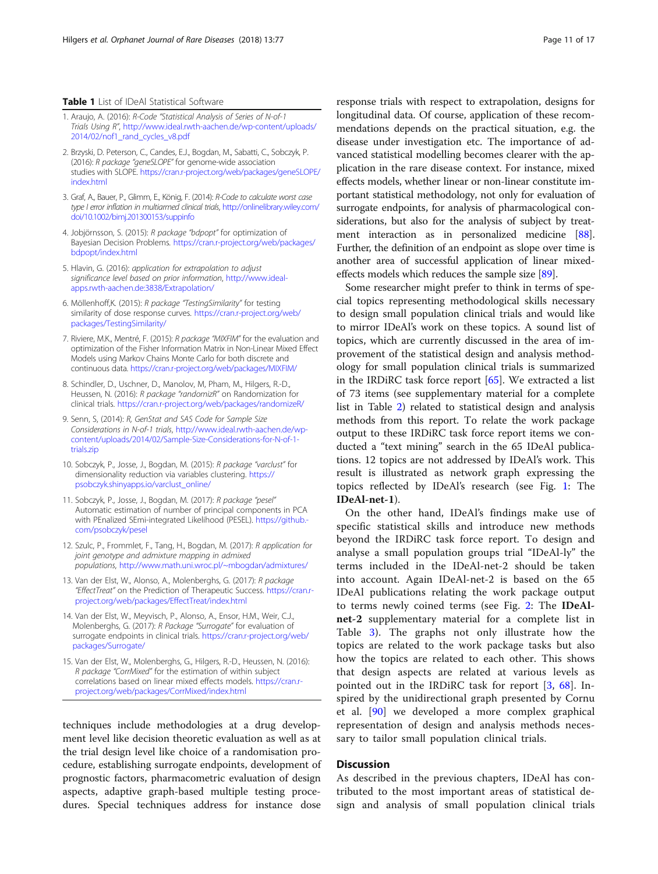#### <span id="page-10-0"></span>Table 1 List of IDeAl Statistical Software

- 1. Araujo, A. (2016): R-Code "Statistical Analysis of Series of N-of-1 Trials Using R", [http://www.ideal.rwth-aachen.de/wp-content/uploads/](http://www.ideal.rwth-aachen.de/wp-content/uploads/2014/02/nof1_rand_cycles_v8.pdf) [2014/02/nof1\\_rand\\_cycles\\_v8.pdf](http://www.ideal.rwth-aachen.de/wp-content/uploads/2014/02/nof1_rand_cycles_v8.pdf)
- 2. Brzyski, D. Peterson, C., Candes, E.J., Bogdan, M., Sabatti, C., Sobczyk, P. (2016): R package "geneSLOPE" for genome-wide association studies with SLOPE. [https://cran.r-project.org/web/packages/geneSLOPE/](https://cran.r-project.org/web/packages/geneSLOPE/index.html) [index.html](https://cran.r-project.org/web/packages/geneSLOPE/index.html)
- 3. Graf, A., Bauer, P., Glimm, E., König, F. (2014): R-Code to calculate worst case type I error inflation in multiarmed clinical trials, [http://onlinelibrary.wiley.com/](http://onlinelibrary.wiley.com/doi/10.1002/bimj.201300153/suppinfo) [doi/10.1002/bimj.201300153/suppinfo](http://onlinelibrary.wiley.com/doi/10.1002/bimj.201300153/suppinfo)
- 4. Jobjörnsson, S. (2015): R package "bdpopt" for optimization of Bayesian Decision Problems. [https://cran.r-project.org/web/packages/](https://cran.r-project.org/web/packages/bdpopt/index.html) [bdpopt/index.html](https://cran.r-project.org/web/packages/bdpopt/index.html)
- 5. Hlavin, G. (2016): application for extrapolation to adjust significance level based on prior information, [http://www.ideal](http://www.ideal-apps.rwth-aachen.de:3838/Extrapolation/)[apps.rwth-aachen.de:3838/Extrapolation/](http://www.ideal-apps.rwth-aachen.de:3838/Extrapolation/)
- 6. Möllenhoff,K. (2015): R package "TestingSimilarity" for testing similarity of dose response curves. [https://cran.r-project.org/web/](https://cran.r-project.org/web/packages/TestingSimilarity/) [packages/TestingSimilarity/](https://cran.r-project.org/web/packages/TestingSimilarity/)
- 7. Riviere, M.K., Mentré, F. (2015): R package "MIXFIM" for the evaluation and optimization of the Fisher Information Matrix in Non-Linear Mixed Effect Models using Markov Chains Monte Carlo for both discrete and continuous data. <https://cran.r-project.org/web/packages/MIXFIM/>
- 8. Schindler, D., Uschner, D., Manolov, M, Pham, M., Hilgers, R.-D., Heussen, N. (2016): R package "randomizR" on Randomization for clinical trials. <https://cran.r-project.org/web/packages/randomizeR/>
- 9. Senn, S, (2014): R, GenStat and SAS Code for Sample Size Considerations in N-of-1 trials, [http://www.ideal.rwth-aachen.de/wp](http://www.ideal.rwth-aachen.de/wp-content/uploads/2014/02/Sample-Size-Considerations-for-N-of-1-trials.zip)[content/uploads/2014/02/Sample-Size-Considerations-for-N-of-1](http://www.ideal.rwth-aachen.de/wp-content/uploads/2014/02/Sample-Size-Considerations-for-N-of-1-trials.zip) trials zin
- 10. Sobczyk, P., Josse, J., Bogdan, M. (2015): R package "varclust" for dimensionality reduction via variables clustering. [https://](https://psobczyk.shinyapps.io/varclust_online/) [psobczyk.shinyapps.io/varclust\\_online/](https://psobczyk.shinyapps.io/varclust_online/)
- 11. Sobczyk, P., Josse, J., Bogdan, M. (2017): R package "pesel" Automatic estimation of number of principal components in PCA with PEnalized SEmi-integrated Likelihood (PESEL). [https://github.](https://github.com/psobczyk/pesel) [com/psobczyk/pesel](https://github.com/psobczyk/pesel)
- 12. Szulc, P., Frommlet, F., Tang, H., Bogdan, M. (2017): R application for joint genotype and admixture mapping in admixed populations, <http://www.math.uni.wroc.pl/~mbogdan/admixtures/>
- 13. Van der Elst, W., Alonso, A., Molenberghs, G. (2017): R package "EffectTreat" on the Prediction of Therapeutic Success. [https://cran.r](https://cran.r-project.org/web/packages/EffectTreat/index.html)[project.org/web/packages/EffectTreat/index.html](https://cran.r-project.org/web/packages/EffectTreat/index.html)
- 14. Van der Elst, W., Meyvisch, P., Alonso, A., Ensor, H.M., Weir, C.J., Molenberghs, G. (2017): R Package "Surrogate" for evaluation of surrogate endpoints in clinical trials. [https://cran.r-project.org/web/](https://cran.r-project.org/web/packages/Surrogate/) [packages/Surrogate/](https://cran.r-project.org/web/packages/Surrogate/)
- 15. Van der Elst, W., Molenberghs, G., Hilgers, R.-D., Heussen, N. (2016): R package "CorrMixed" for the estimation of within subject correlations based on linear mixed effects models. [https://cran.r](https://cran.r-project.org/web/packages/CorrMixed/index.html)[project.org/web/packages/CorrMixed/index.html](https://cran.r-project.org/web/packages/CorrMixed/index.html)

techniques include methodologies at a drug development level like decision theoretic evaluation as well as at the trial design level like choice of a randomisation procedure, establishing surrogate endpoints, development of prognostic factors, pharmacometric evaluation of design aspects, adaptive graph-based multiple testing procedures. Special techniques address for instance dose

response trials with respect to extrapolation, designs for longitudinal data. Of course, application of these recommendations depends on the practical situation, e.g. the disease under investigation etc. The importance of advanced statistical modelling becomes clearer with the application in the rare disease context. For instance, mixed effects models, whether linear or non-linear constitute important statistical methodology, not only for evaluation of surrogate endpoints, for analysis of pharmacological considerations, but also for the analysis of subject by treatment interaction as in personalized medicine [[88](#page-16-0)]. Further, the definition of an endpoint as slope over time is another area of successful application of linear mixedeffects models which reduces the sample size [\[89\]](#page-16-0).

Some researcher might prefer to think in terms of special topics representing methodological skills necessary to design small population clinical trials and would like to mirror IDeAl's work on these topics. A sound list of topics, which are currently discussed in the area of improvement of the statistical design and analysis methodology for small population clinical trials is summarized in the IRDiRC task force report [\[65\]](#page-16-0). We extracted a list of 73 items (see supplementary material for a complete list in Table [2](#page-11-0)) related to statistical design and analysis methods from this report. To relate the work package output to these IRDiRC task force report items we conducted a "text mining" search in the 65 IDeAl publications. 12 topics are not addressed by IDeAl's work. This result is illustrated as network graph expressing the topics reflected by IDeAl's research (see Fig. [1](#page-12-0): The IDeAl-net-1).

On the other hand, IDeAl's findings make use of specific statistical skills and introduce new methods beyond the IRDiRC task force report. To design and analyse a small population groups trial "IDeAl-ly" the terms included in the IDeAl-net-2 should be taken into account. Again IDeAl-net-2 is based on the 65 IDeAl publications relating the work package output to terms newly coined terms (see Fig. [2:](#page-12-0) The IDeAlnet-2 supplementary material for a complete list in Table [3](#page-13-0)). The graphs not only illustrate how the topics are related to the work package tasks but also how the topics are related to each other. This shows that design aspects are related at various levels as pointed out in the IRDiRC task for report [[3](#page-14-0), [68](#page-16-0)]. Inspired by the unidirectional graph presented by Cornu et al. [[90\]](#page-16-0) we developed a more complex graphical representation of design and analysis methods necessary to tailor small population clinical trials.

### Discussion

As described in the previous chapters, IDeAl has contributed to the most important areas of statistical design and analysis of small population clinical trials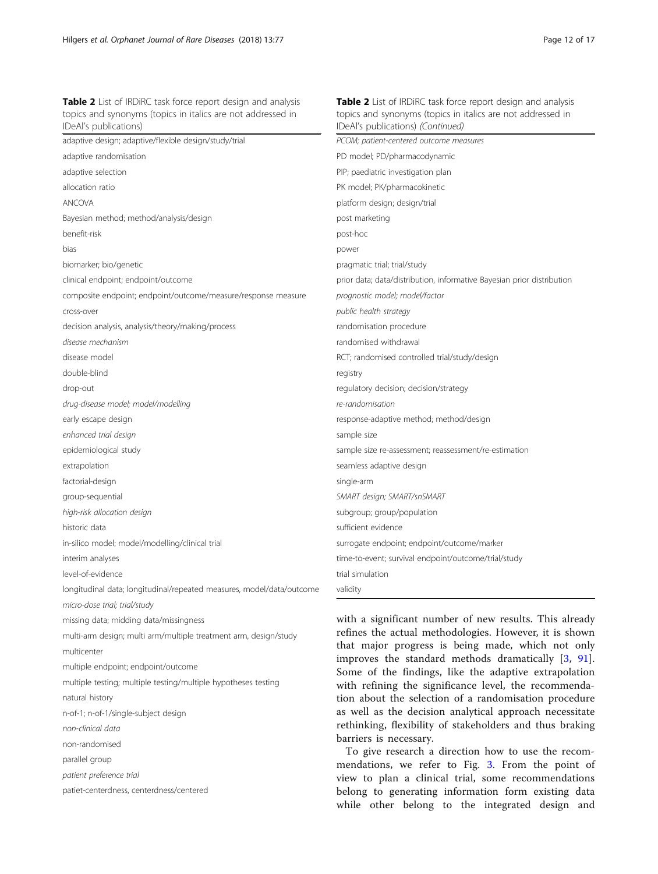<span id="page-11-0"></span>Table 2 List of IRDIRC task force report design and analysis topics and synonyms (topics in italics are not addressed in IDeAl's publications)

adaptive design; adaptive/flexible design/study/trial adaptive randomisation adaptive selection allocation ratio ANCOVA Bayesian method; method/analysis/design benefit-risk bias biomarker; bio/genetic clinical endpoint; endpoint/outcome composite endpoint; endpoint/outcome/measure/response measure cross-over decision analysis, analysis/theory/making/process disease mechanism disease model double-blind drop-out drug-disease model; model/modelling early escape design enhanced trial design epidemiological study extrapolation factorial-design group-sequential high-risk allocation design historic data in-silico model; model/modelling/clinical trial interim analyses level-of-evidence longitudinal data; longitudinal/repeated measures, model/data/outcome micro-dose trial; trial/study missing data; midding data/missingness multi-arm design; multi arm/multiple treatment arm, design/study multicenter multiple endpoint; endpoint/outcome multiple testing; multiple testing/multiple hypotheses testing natural history n-of-1; n-of-1/single-subject design non-clinical data non-randomised parallel group patient preference trial

patiet-centerdness, centerdness/centered

IDeAl's publications) (Continued) PCOM; patient-centered outcome measures PD model; PD/pharmacodynamic PIP; paediatric investigation plan PK model; PK/pharmacokinetic platform design; design/trial post marketing post-hoc power pragmatic trial; trial/study prior data; data/distribution, informative Bayesian prior distribution prognostic model; model/factor public health strategy randomisation procedure randomised withdrawal RCT; randomised controlled trial/study/design registry regulatory decision; decision/strategy re-randomisation response-adaptive method; method/design sample size sample size re-assessment; reassessment/re-estimation seamless adaptive design single-arm SMART design; SMART/snSMART subgroup; group/population sufficient evidence surrogate endpoint; endpoint/outcome/marker time-to-event; survival endpoint/outcome/trial/study trial simulation validity

Table 2 List of IRDIRC task force report design and analysis topics and synonyms (topics in italics are not addressed in

with a significant number of new results. This already refines the actual methodologies. However, it is shown that major progress is being made, which not only improves the standard methods dramatically [\[3](#page-14-0), [91](#page-16-0)]. Some of the findings, like the adaptive extrapolation with refining the significance level, the recommendation about the selection of a randomisation procedure as well as the decision analytical approach necessitate rethinking, flexibility of stakeholders and thus braking barriers is necessary.

To give research a direction how to use the recommendations, we refer to Fig. [3.](#page-14-0) From the point of view to plan a clinical trial, some recommendations belong to generating information form existing data while other belong to the integrated design and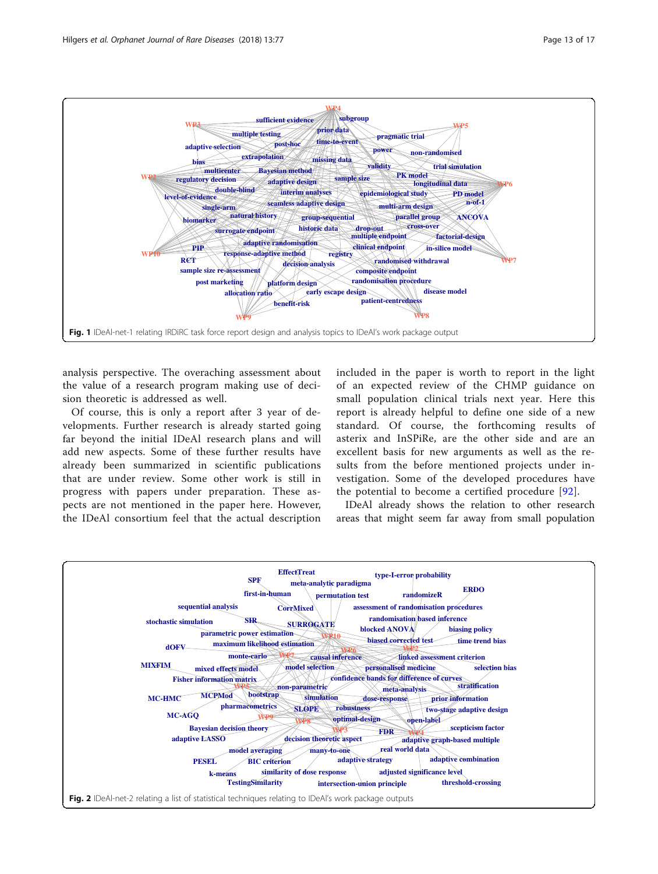

<span id="page-12-0"></span>

analysis perspective. The overaching assessment about the value of a research program making use of decision theoretic is addressed as well.

Of course, this is only a report after 3 year of developments. Further research is already started going far beyond the initial IDeAl research plans and will add new aspects. Some of these further results have already been summarized in scientific publications that are under review. Some other work is still in progress with papers under preparation. These aspects are not mentioned in the paper here. However, the IDeAl consortium feel that the actual description included in the paper is worth to report in the light of an expected review of the CHMP guidance on small population clinical trials next year. Here this report is already helpful to define one side of a new standard. Of course, the forthcoming results of asterix and InSPiRe, are the other side and are an excellent basis for new arguments as well as the results from the before mentioned projects under investigation. Some of the developed procedures have the potential to become a certified procedure [\[92](#page-16-0)].

IDeAl already shows the relation to other research areas that might seem far away from small population

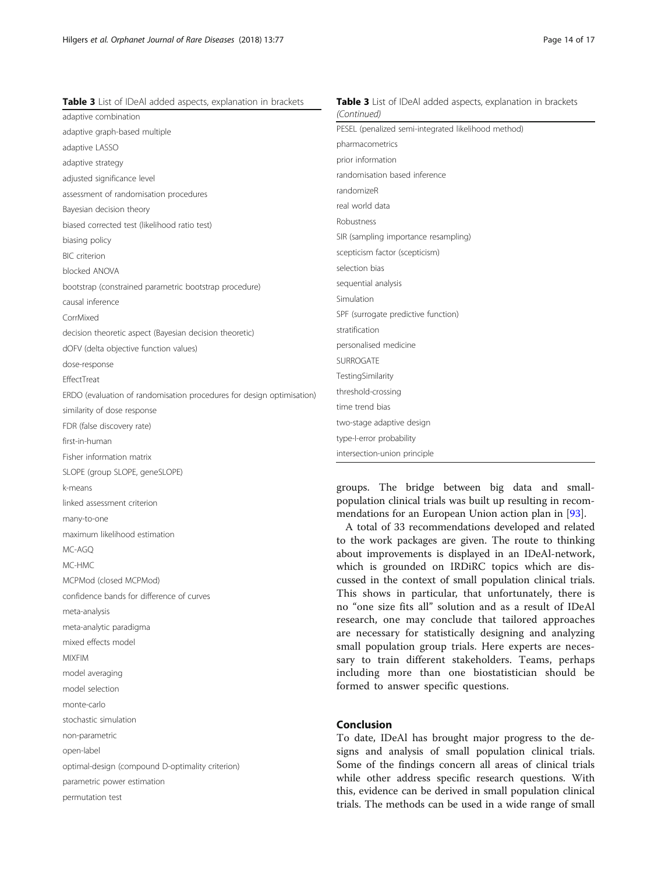k-means

MC-AGQ MC-HMC

many-to-one

meta-analysis

model averaging model selection monte-carlo stochastic simulation non-parametric open-label

permutation test

MIXFIM

linked assessment criterion

maximum likelihood estimation

MCPMod (closed MCPMod)

meta-analytic paradigma mixed effects model

parametric power estimation

confidence bands for difference of curves

optimal-design (compound D-optimality criterion)

<span id="page-13-0"></span>

| Table 3 List of IDeAI added aspects, explanation in brackets          | <b>Table 3</b> List of IDeAI added aspects, explanation in brackets |
|-----------------------------------------------------------------------|---------------------------------------------------------------------|
| adaptive combination                                                  | (Continued)                                                         |
| adaptive graph-based multiple                                         | PESEL (penalized semi-integrated likelihood method)                 |
| adaptive LASSO                                                        | pharmacometrics                                                     |
| adaptive strategy                                                     | prior information                                                   |
| adjusted significance level                                           | randomisation based inference                                       |
| assessment of randomisation procedures                                | randomizeR                                                          |
| Bayesian decision theory                                              | real world data                                                     |
| biased corrected test (likelihood ratio test)                         | Robustness                                                          |
| biasing policy                                                        | SIR (sampling importance resampling)                                |
| <b>BIC</b> criterion                                                  | scepticism factor (scepticism)                                      |
| blocked ANOVA                                                         | selection bias                                                      |
| bootstrap (constrained parametric bootstrap procedure)                | sequential analysis                                                 |
| causal inference                                                      | Simulation                                                          |
| CorrMixed                                                             | SPF (surrogate predictive function)                                 |
| decision theoretic aspect (Bayesian decision theoretic)               | stratification                                                      |
| dOFV (delta objective function values)                                | personalised medicine                                               |
| dose-response                                                         | <b>SURROGATE</b>                                                    |
| <b>FffectTreat</b>                                                    | TestingSimilarity                                                   |
| ERDO (evaluation of randomisation procedures for design optimisation) | threshold-crossing                                                  |
| similarity of dose response                                           | time trend bias                                                     |
| FDR (false discovery rate)                                            | two-stage adaptive design                                           |
| first-in-human                                                        | type-I-error probability                                            |
| Fisher information matrix                                             | intersection-union principle                                        |
| SLOPE (group SLOPE, geneSLOPE)                                        |                                                                     |

groups. The bridge between big data and smallpopulation clinical trials was built up resulting in recommendations for an European Union action plan in [[93\]](#page-16-0).

A total of 33 recommendations developed and related to the work packages are given. The route to thinking about improvements is displayed in an IDeAl-network, which is grounded on IRDiRC topics which are discussed in the context of small population clinical trials. This shows in particular, that unfortunately, there is no "one size fits all" solution and as a result of IDeAl research, one may conclude that tailored approaches are necessary for statistically designing and analyzing small population group trials. Here experts are necessary to train different stakeholders. Teams, perhaps including more than one biostatistician should be formed to answer specific questions.

# Conclusion

To date, IDeAl has brought major progress to the designs and analysis of small population clinical trials. Some of the findings concern all areas of clinical trials while other address specific research questions. With this, evidence can be derived in small population clinical trials. The methods can be used in a wide range of small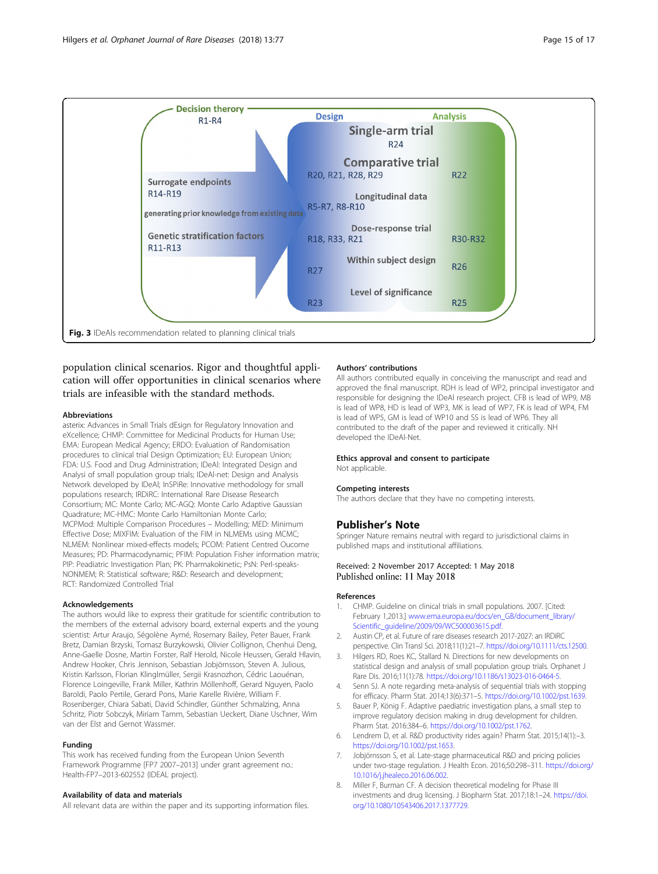<span id="page-14-0"></span>

# population clinical scenarios. Rigor and thoughtful application will offer opportunities in clinical scenarios where trials are infeasible with the standard methods.

#### **Abbreviations**

asterix: Advances in Small Trials dEsign for Regulatory Innovation and eXcellence; CHMP: Committee for Medicinal Products for Human Use; EMA: European Medical Agency; ERDO: Evaluation of Randomisation procedures to clinical trial Design Optimization; EU: European Union; FDA: U.S. Food and Drug Administration; IDeAl: Integrated Design and Analysi of small population group trials; IDeAl-net: Design and Analysis Network developed by IDeAl; InSPiRe: Innovative methodology for small populations research; IRDiRC: International Rare Disease Research Consortium; MC: Monte Carlo; MC-AGQ: Monte Carlo Adaptive Gaussian Quadrature; MC-HMC: Monte Carlo Hamiltonian Monte Carlo; MCPMod: Multiple Comparison Procedures – Modelling; MED: Minimum Effective Dose; MIXFIM: Evaluation of the FIM in NLMEMs using MCMC; NLMEM: Nonlinear mixed-effects models; PCOM: Patient Centred Oucome Measures; PD: Pharmacodynamic; PFIM: Population Fisher information matrix; PIP: Peadiatric Investigation Plan; PK: Pharmakokinetic; PsN: Perl-speaks-NONMEM; R: Statistical software; R&D: Research and development; RCT: Randomized Controlled Trial

#### Acknowledgements

The authors would like to express their gratitude for scientific contribution to the members of the external advisory board, external experts and the young scientist: Artur Araujo, Ségolène Aymé, Rosemary Bailey, Peter Bauer, Frank Bretz, Damian Brzyski, Tomasz Burzykowski, Olivier Collignon, Chenhui Deng, Anne-Gaelle Dosne, Martin Forster, Ralf Herold, Nicole Heussen, Gerald Hlavin, Andrew Hooker, Chris Jennison, Sebastian Jobjörnsson, Steven A. Julious, Kristin Karlsson, Florian Klinglmüller, Sergii Krasnozhon, Cédric Laouénan, Florence Loingeville, Frank Miller, Kathrin Möllenhoff, Gerard Nguyen, Paolo Baroldi, Paolo Pertile, Gerard Pons, Marie Karelle Rivière, William F. Rosenberger, Chiara Sabati, David Schindler, Günther Schmalzing, Anna Schritz, Piotr Sobczyk, Miriam Tamm, Sebastian Ueckert, Diane Uschner, Wim van der Elst and Gernot Wassmer.

#### Funding

This work has received funding from the European Union Seventh Framework Programme [FP7 2007–2013] under grant agreement no.: Health-FP7–2013-602552 (IDEAL project).

#### Availability of data and materials

All relevant data are within the paper and its supporting information files.

#### Authors' contributions

All authors contributed equally in conceiving the manuscript and read and approved the final manuscript. RDH is lead of WP2, principal investigator and responsible for designing the IDeAl research project. CFB is lead of WP9, MB is lead of WP8, HD is lead of WP3, MK is lead of WP7, FK is lead of WP4, FM is lead of WP5, GM is lead of WP10 and SS is lead of WP6. They all contributed to the draft of the paper and reviewed it critically. NH developed the IDeAl-Net.

# Ethics approval and consent to participate

Not applicable.

#### Competing interests

The authors declare that they have no competing interests.

#### Publisher's Note

Springer Nature remains neutral with regard to jurisdictional claims in published maps and institutional affiliations.

### Received: 2 November 2017 Accepted: 1 May 2018 Published online: 11 May 2018

#### References

- 1. CHMP. Guideline on clinical trials in small populations. 2007. [Cited: February 1,2013.] www.ema.europa.eu/docs/en\_GB/document\_library/ Scientific\_guideline/2009/09/WC500003615.pdf.
- 2. Austin CP, et al. Future of rare diseases research 2017-2027: an IRDiRC perspective. Clin Transl Sci. 2018;11(1):21–7. https://doi.org/10.1111/cts.12500.
- 3. Hilgers RD, Roes KC, Stallard N. Directions for new developments on statistical design and analysis of small population group trials. Orphanet J Rare Dis. 2016;11(1):78. https://doi.org/10.1186/s13023-016-0464-5.
- 4. Senn SJ. A note regarding meta-analysis of sequential trials with stopping for efficacy. Pharm Stat. 2014;13(6):371–5. https://doi.org/10.1002/pst.1639.
- 5. Bauer P, König F. Adaptive paediatric investigation plans, a small step to improve regulatory decision making in drug development for children. Pharm Stat. 2016:384–6. https://doi.org/10.1002/pst.1762.
- 6. Lendrem D, et al. R&D productivity rides again? Pharm Stat. 2015;14(1):–3. https://doi.org/10.1002/pst.1653.
- 7. Jobjörnsson S, et al. Late-stage pharmaceutical R&D and pricing policies under two-stage regulation. J Health Econ. 2016;50:298–311. https://doi.org/ 10.1016/j.jhealeco.2016.06.002.
- 8. Miller F, Burman CF. A decision theoretical modeling for Phase III investments and drug licensing. J Biopharm Stat. 2017;18:1–24. https://doi. org/10.1080/10543406.2017.1377729.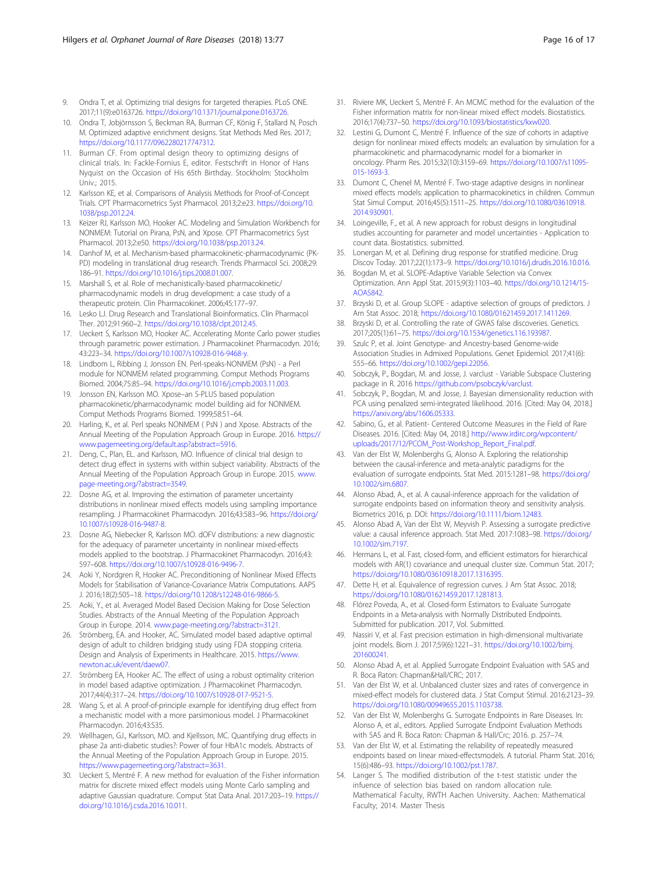- <span id="page-15-0"></span>9. Ondra T, et al. Optimizing trial designs for targeted therapies. PLoS ONE. 2017;11(9):e0163726. https://doi.org/10.1371/journal.pone.0163726.
- 10. Ondra T, Jobjörnsson S, Beckman RA, Burman CF, König F, Stallard N, Posch M. Optimized adaptive enrichment designs. Stat Methods Med Res. 2017; https://doi.org/10.1177/0962280217747312.
- 11. Burman CF. From optimal design theory to optimizing designs of clinical trials. In: Fackle-Fornius E, editor. Festschrift in Honor of Hans Nyquist on the Occasion of His 65th Birthday. Stockholm: Stockholm Univ.; 2015.
- 12. Karlsson KE, et al. Comparisons of Analysis Methods for Proof-of-Concept Trials. CPT Pharmacometrics Syst Pharmacol. 2013;2:e23. https://doi.org/10. 1038/psp.2012.24.
- 13. Keizer RJ, Karlsson MO, Hooker AC. Modeling and Simulation Workbench for NONMEM: Tutorial on Pirana, PsN, and Xpose. CPT Pharmacometrics Syst Pharmacol. 2013;2:e50. https://doi.org/10.1038/psp.2013.24.
- 14. Danhof M, et al. Mechanism-based pharmacokinetic-pharmacodynamic (PK-PD) modeling in translational drug research. Trends Pharmacol Sci. 2008;29: 186–91. https://doi.org/10.1016/j.tips.2008.01.007.
- 15. Marshall S, et al. Role of mechanistically-based pharmacokinetic/ pharmacodynamic models in drug development: a case study of a therapeutic protein. Clin Pharmacokinet. 2006;45:177–97.
- 16. Lesko LJ. Drug Research and Translational Bioinformatics. Clin Pharmacol Ther. 2012;91:960–2. https://doi.org/10.1038/clpt.2012.45.
- 17. Ueckert S, Karlsson MO, Hooker AC. Accelerating Monte Carlo power studies through parametric power estimation. J Pharmacokinet Pharmacodyn. 2016; 43:223–34. https://doi.org/10.1007/s10928-016-9468-y.
- 18. Lindbom L, Ribbing J, Jonsson EN. Perl-speaks-NONMEM (PsN) a Perl module for NONMEM related programming. Comput Methods Programs Biomed. 2004;75:85–94. https://doi.org/10.1016/j.cmpb.2003.11.003.
- 19. Jonsson EN, Karlsson MO. Xpose–an S-PLUS based population pharmacokinetic/pharmacodynamic model building aid for NONMEM. Comput Methods Programs Biomed. 1999;58:51–64.
- 20. Harling, K., et al. Perl speaks NONMEM ( PsN ) and Xpose. Abstracts of the Annual Meeting of the Population Approach Group in Europe. 2016. https:// www.pagemeeting.org/default.asp?abstract=5916.
- 21. Deng, C., Plan, EL. and Karlsson, MO. Influence of clinical trial design to detect drug effect in systems with within subject variability. Abstracts of the Annual Meeting of the Population Approach Group in Europe. 2015. www. page-meeting.org/?abstract=3549.
- 22. Dosne AG, et al. Improving the estimation of parameter uncertainty distributions in nonlinear mixed effects models using sampling importance resampling. J Pharmacokinet Pharmacodyn. 2016;43:583–96. https://doi.org/ 10.1007/s10928-016-9487-8.
- 23. Dosne AG, Niebecker R, Karlsson MO. dOFV distributions: a new diagnostic for the adequacy of parameter uncertainty in nonlinear mixed-effects models applied to the bootstrap. J Pharmacokinet Pharmacodyn. 2016;43: 597–608. https://doi.org/10.1007/s10928-016-9496-7.
- 24. Aoki Y, Nordgren R, Hooker AC. Preconditioning of Nonlinear Mixed Effects Models for Stabilisation of Variance-Covariance Matrix Computations. AAPS J. 2016;18(2):505–18. https://doi.org/10.1208/s12248-016-9866-5.
- 25. Aoki, Y., et al. Averaged Model Based Decision Making for Dose Selection Studies. Abstracts of the Annual Meeting of the Population Approach Group in Europe. 2014. www.page-meeting.org/?abstract=3121.
- Strömberg, EA. and Hooker, AC. Simulated model based adaptive optimal design of adult to children bridging study using FDA stopping criteria. Design and Analysis of Experiments in Healthcare. 2015. https://www. newton.ac.uk/event/daew07.
- 27. Strömberg EA, Hooker AC. The effect of using a robust optimality criterion in model based adaptive optimization. J Pharmacokinet Pharmacodyn. 2017;44(4):317–24. https://doi.org/10.1007/s10928-017-9521-5.
- 28. Wang S, et al. A proof-of-principle example for identifying drug effect from a mechanistic model with a more parsimonious model. J Pharmacokinet Pharmacodyn. 2016;43:S35.
- 29. Wellhagen, GJ., Karlsson, MO. and Kjellsson, MC. Quantifying drug effects in phase 2a anti-diabetic studies?: Power of four HbA1c models. Abstracts of the Annual Meeting of the Population Approach Group in Europe. 2015. https://www.pagemeeting.org/?abstract=3631.
- 30. Ueckert S, Mentré F. A new method for evaluation of the Fisher information matrix for discrete mixed effect models using Monte Carlo sampling and adaptive Gaussian quadrature. Comput Stat Data Anal. 2017:203–19. https:// doi.org/10.1016/j.csda.2016.10.011.
- 31. Riviere MK, Ueckert S, Mentré F. An MCMC method for the evaluation of the Fisher information matrix for non-linear mixed effect models. Biostatistics. 2016;17(4):737–50. https://doi.org/10.1093/biostatistics/kxw020.
- 32. Lestini G, Dumont C, Mentré F. Influence of the size of cohorts in adaptive design for nonlinear mixed effects models: an evaluation by simulation for a pharmacokinetic and pharmacodynamic model for a biomarker in oncology. Pharm Res. 2015;32(10):3159–69. https://doi.org/10.1007/s11095- 015-1693-3.
- 33. Dumont C, Chenel M, Mentré F. Two-stage adaptive designs in nonlinear mixed effects models: application to pharmacokinetics in children. Commun Stat Simul Comput. 2016;45(5):1511–25. https://doi.org/10.1080/03610918. 2014.930901.
- 34. Loingeville, F., et al. A new approach for robust designs in longitudinal studies accounting for parameter and model uncertainties - Application to count data. Biostatistics. submitted.
- 35. Lonergan M, et al. Defining drug response for stratified medicine. Drug Discov Today. 2017;22(1):173–9. https://doi.org/10.1016/j.drudis.2016.10.016.
- 36. Bogdan M, et al. SLOPE-Adaptive Variable Selection via Convex Optimization. Ann Appl Stat. 2015;9(3):1103–40. https://doi.org/10.1214/15- AOAS842.
- 37. Brzyski D, et al. Group SLOPE adaptive selection of groups of predictors. J Am Stat Assoc. 2018; https://doi.org/10.1080/01621459.2017.1411269.
- 38. Brzyski D, et al. Controlling the rate of GWAS false discoveries. Genetics. 2017;205(1):61–75. https://doi.org/10.1534/genetics.116.193987.
- 39. Szulc P, et al. Joint Genotype- and Ancestry-based Genome-wide Association Studies in Admixed Populations. Genet Epidemiol. 2017;41(6): 555–66. https://doi.org/10.1002/gepi.22056.
- 40. Sobczyk, P., Bogdan, M. and Josse, J. varclust Variable Subspace Clustering package in R. 2016 https://github.com/psobczyk/varclust
- 41. Sobczyk, P., Bogdan, M. and Josse, J. Bayesian dimensionality reduction with PCA using penalized semi-integrated likelihood. 2016. [Cited: May 04, 2018.] https://arxiv.org/abs/1606.05333.
- 42. Sabino, G., et al. Patient- Centered Outcome Measures in the Field of Rare Diseases. 2016. [Cited: May 04, 2018.] http://www.irdirc.org/wpcontent/ uploads/2017/12/PCOM\_Post-Workshop\_Report\_Final.pdf.
- 43. Van der Elst W, Molenberghs G, Alonso A. Exploring the relationship between the causal-inference and meta-analytic paradigms for the evaluation of surrogate endpoints. Stat Med. 2015:1281–98. https://doi.org/ 10.1002/sim.6807.
- 44. Alonso Abad, A., et al. A causal-inference approach for the validation of surrogate endpoints based on information theory and sensitivity analysis. Biometrics 2016, p. DOI: https://doi.org/10.1111/biom.12483.
- Alonso Abad A, Van der Elst W, Meyvish P. Assessing a surrogate predictive value: a causal inference approach. Stat Med. 2017:1083–98. https://doi.org/ 10.1002/sim.7197.
- 46. Hermans L, et al. Fast, closed-form, and efficient estimators for hierarchical models with AR(1) covariance and unequal cluster size. Commun Stat. 2017; https://doi.org/10.1080/03610918.2017.1316395.
- Dette H, et al. Equivalence of regression curves. J Am Stat Assoc. 2018; https://doi.org/10.1080/01621459.2017.1281813.
- 48. Flórez Poveda, A., et al. Closed-form Estimators to Evaluate Surrogate Endpoints in a Meta-analysis with Normally Distributed Endpoints. Submitted for publication. 2017, Vol. Submitted.
- 49. Nassiri V, et al. Fast precision estimation in high-dimensional multivariate joint models. Biom J. 2017;59(6):1221–31. https://doi.org/10.1002/bimj. 201600241.
- 50. Alonso Abad A, et al. Applied Surrogate Endpoint Evaluation with SAS and R. Boca Raton: Chapman&Hall/CRC; 2017.
- 51. Van der Elst W, et al. Unbalanced cluster sizes and rates of convergence in mixed-effect models for clustered data. J Stat Comput Stimul. 2016:2123–39. https://doi.org/10.1080/00949655.2015.1103738.
- 52. Van der Elst W, Molenberghs G. Surrogate Endpoints in Rare Diseases. In: Alonso A, et al., editors. Applied Surrogate Endpoint Evaluation Methods with SAS and R. Boca Raton: Chapman & Hall/Crc; 2016. p. 257–74.
- 53. Van der Elst W, et al. Estimating the reliability of repeatedly measured endpoints based on linear mixed-effectsmodels. A tutorial. Pharm Stat. 2016; 15(6):486–93. https://doi.org/10.1002/pst.1787.
- 54. Langer S. The modified distribution of the t-test statistic under the infuence of selection bias based on random allocation rule. Mathematical Faculty, RWTH Aachen University. Aachen: Mathematical Faculty; 2014. Master Thesis